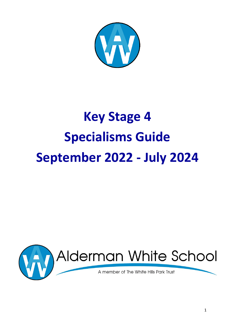

# **Key Stage 4 Specialisms Guide September 2022 - July 2024**

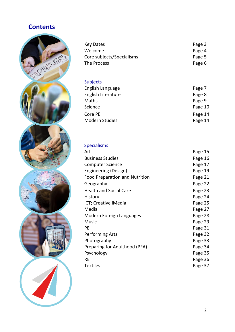## **Contents**



| Page 3 |
|--------|
| Page 4 |
| Page 5 |
| Page 6 |
|        |

## Subjects

| English Language      | Page 7  |
|-----------------------|---------|
| English Literature    | Page 8  |
| Maths                 | Page 9  |
| Science               | Page 10 |
| Core PE               | Page 14 |
| <b>Modern Studies</b> | Page 14 |
|                       |         |

## Specialisms

| Art                            | Page 15 |
|--------------------------------|---------|
| <b>Business Studies</b>        | Page 16 |
| <b>Computer Science</b>        | Page 17 |
| Engineering (Design)           | Page 19 |
| Food Preparation and Nutrition | Page 21 |
| Geography                      | Page 22 |
| <b>Health and Social Care</b>  | Page 23 |
| History                        | Page 24 |
| ICT; Creative iMedia           | Page 25 |
| Media                          | Page 27 |
| Modern Foreign Languages       | Page 28 |
| <b>Music</b>                   | Page 29 |
| PE                             | Page 31 |
| <b>Performing Arts</b>         | Page 32 |
| Photography                    | Page 33 |
| Preparing for Adulthood (PFA)  | Page 34 |
| Psychology                     | Page 35 |
| <b>RE</b>                      | Page 36 |
| <b>Textiles</b>                | Page 37 |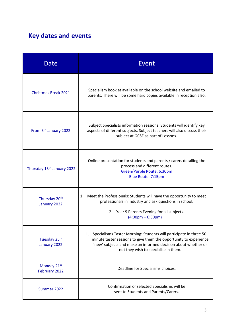# **Key dates and events**

| Date                                      | Event                                                                                                                                                                                                                                               |
|-------------------------------------------|-----------------------------------------------------------------------------------------------------------------------------------------------------------------------------------------------------------------------------------------------------|
| <b>Christmas Break 2021</b>               | Specialism booklet available on the school website and emailed to<br>parents. There will be some hard copies available in reception also.                                                                                                           |
| From 5 <sup>th</sup> January 2022         | Subject Specialists information sessions: Students will identify key<br>aspects of different subjects. Subject teachers will also discuss their<br>subject at GCSE as part of Lessons.                                                              |
| Thursday 13 <sup>th</sup> January 2022    | Online presentation for students and parents / carers detailing the<br>process and different routes.<br>Green/Purple Route: 6:30pm<br>Blue Route: 7:15pm                                                                                            |
| Thursday 20 <sup>th</sup><br>January 2022 | Meet the Professionals: Students will have the opportunity to meet<br>1.<br>professionals in industry and ask questions in school.<br>2. Year 9 Parents Evening for all subjects.<br>$(4:00 \text{pm} - 6:30 \text{pm})$                            |
| Tuesday 25 <sup>th</sup><br>January 2022  | 1. Specialisms Taster Morning: Students will participate in three 50-<br>minute taster sessions to give them the opportunity to experience<br>'new' subjects and make an informed decision about whether or<br>not they wish to specialise in them. |
| Monday 21st<br>February 2022              | Deadline for Specialisms choices.                                                                                                                                                                                                                   |
| Summer 2022                               | Confirmation of selected Specialisms will be<br>sent to Students and Parents/Carers.                                                                                                                                                                |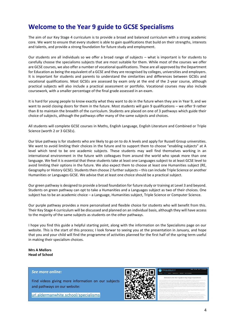## **Welcome to the Year 9 guide to GCSE Specialisms**

The aim of our Key Stage 4 curriculum is to provide a broad and balanced curriculum with a strong academic core. We want to ensure that every student is able to gain qualifications that build on their strengths, interests and talents, and provide a strong foundation for future study and employment.

Our students are all individuals so we offer a broad range of subjects – what is important is for students to carefully choose the specialisms subjects that are most suitable for them. While most of the courses we offer are GCSE courses, we also offer a number of vocational qualifications. These are all approved by the Department for Education as being the equivalent of a GCSE and they are recognised by colleges, universities and employers. It is important for students and parents to understand the similarities and differences between GCSEs and vocational qualifications. Most GCSEs are assessed by exam only at the end of the 2-year course, although practical subjects will also include a practical assessment or portfolio. Vocational courses may also include coursework, with a smaller percentage of the final grade assessed in an exam.

It is hard for young people to know exactly what they want to do in the future when they are in Year 9, and we want to avoid closing doors for them in the future. Most students will gain 9 qualifications – we offer 9 rather than 8 to maintain the breadth of the curriculum. Students are placed on one of 3 pathways which guide their choice of subjects, although the pathways offer many of the same subjects and choices.

All students will complete GCSE courses in Maths, English Language, English Literature and Combined or Triple Science (worth 2 or 3 GCSEs).

Our blue pathway is for students who are likely to go on to do A levels and apply for Russell Group universities. We want to avoid limiting their choices in the future and to support them to choose "enabling subjects" at A level which tend to be ore academic subjects. These students may well find themselves working in an international environment in the future with colleagues from around the world who speak more than one language. We feel it is essential that these students take at least one Languages subject to at least GCSE level to avoid limiting their options in the future. We also expect them to choose at least one Humanities subject (RE, Geography or History GCSE). Students then choose 2 further subjects – this can include Triple Science or another Humanities or Languages GCSE. We advise that at least one choice should be a practical subject.

Our green pathway is designed to provide a broad foundation for future study or training at Level 3 and beyond. Students on green pathway can opt to take a Humanities and a Languages subject as two of their choices. One subject has to be an academic choice – a Language, Humanities subject, Triple Science or Computer Science.

Our purple pathway provides a more personalised and flexible choice for students who will benefit from this. Their Key Stage 4 curriculum will be discussed and planned on an individual basis, although they will have access to the majority of the same subjects as students on the other pathways.

I hope you find this guide a helpful starting point, along with the information on the Specialisms page on our website. This is the start of this process; I look forwar to seeing you at the presentation in January, and hope that you and your child will find the programme of activities planned for the first half of the spring term useful in making their specialism choices.

**Mrs A Mellors Head of School**

#### *See more online:*

Find videos giving more information on our subjects and pathways on our website:

[url.aldermanwhite.school/specialisms](https://url.aldermanwhite.school/specialisms)

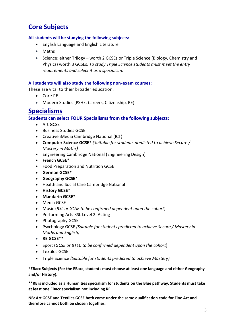## **Core Subjects**

## **All students will be studying the following subjects:**

- English Language and English Literature
- Maths
- Science: either Trilogy worth 2 GCSEs or Triple Science (Biology, Chemistry and Physics) worth 3 GCSEs. *To study Triple Science students must meet the entry requirements and select it as a specialism.*

### **All students will also study the following non-exam courses:**

These are vital to their broader education.

- Core PE
- Modern Studies (PSHE, Careers, Citizenship, RE)

## **Specialisms**

**Students can select FOUR Specialisms from the following subjects:**

- Art GCSE
- Business Studies GCSE
- Creative iMedia Cambridge National (ICT)
- **Computer Science GCSE**\* *(Suitable for students predicted to achieve Secure / Mastery in Maths)*
- Engineering Cambridge National (Engineering Design)
- **French GCSE\***
- Food Preparation and Nutrition GCSE
- **German GCSE\***
- **Geography GCSE**\*
- Health and Social Care Cambridge National
- **History GCSE**\*
- **Mandarin GCSE\***
- Media GCSE
- Music (*RSL or GCSE to be confirmed dependent upon the cohort*)
- Performing Arts RSL Level 2: Acting
- Photography GCSE
- Psychology GCSE *(Suitable for students predicted to achieve Secure / Mastery in Maths and English)*
- **RE GCSE\*\***
- Sport (*GCSE or BTEC to be confirmed dependent upon the cohort*)
- Textiles GCSE
- Triple Science *(Suitable for students predicted to achieve Mastery)*

\***EBacc Subjects (For the EBacc, students must choose at least one language and either Geography and/or History).**

**\*\*RE is included as a Humanities specialism for students on the Blue pathway. Students must take at least one EBacc specialism not including RE.**

**NB: Art GCSE and Textiles GCSE both come under the same qualification code for Fine Art and therefore cannot both be chosen together.**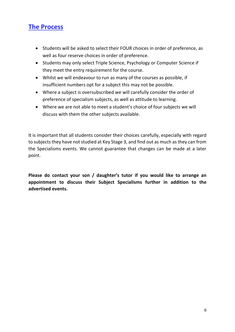## **The Process**

- Students will be asked to select their FOUR choices in order of preference, as well as four reserve choices in order of preference.
- Students may only select Triple Science, Psychology or Computer Science if they meet the entry requirement for the course.
- Whilst we will endeavour to run as many of the courses as possible, if insufficient numbers opt for a subject this may not be possible.
- Where a subject is oversubscribed we will carefully consider the order of preference of specialism subjects, as well as attitude to learning.
- Where we are not able to meet a student's choice of four subjects we will discuss with them the other subjects available.

It is important that all students consider their choices carefully, especially with regard to subjects they have not studied at Key Stage 3, and find out as much as they can from the Specialisms events. We cannot guarantee that changes can be made at a later point.

**Please do contact your son / daughter's tutor if you would like to arrange an appointment to discuss their Subject Specialisms further in addition to the advertised events.**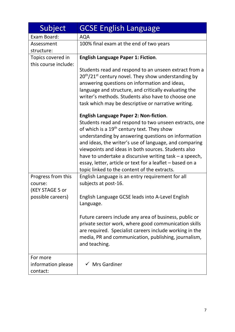| Subject                                                               | <b>GCSE English Language</b>                                                                                                                                                                                                                                                                                                                                                                                                                                                                                                                                                                                                                                                                                                   |
|-----------------------------------------------------------------------|--------------------------------------------------------------------------------------------------------------------------------------------------------------------------------------------------------------------------------------------------------------------------------------------------------------------------------------------------------------------------------------------------------------------------------------------------------------------------------------------------------------------------------------------------------------------------------------------------------------------------------------------------------------------------------------------------------------------------------|
| Exam Board:                                                           | <b>AQA</b>                                                                                                                                                                                                                                                                                                                                                                                                                                                                                                                                                                                                                                                                                                                     |
| Assessment                                                            | 100% final exam at the end of two years                                                                                                                                                                                                                                                                                                                                                                                                                                                                                                                                                                                                                                                                                        |
| structure:<br>Topics covered in<br>this course include:               | <b>English Language Paper 1: Fiction.</b><br>Students read and respond to an unseen extract from a<br>$20th/21st$ century novel. They show understanding by<br>answering questions on information and ideas,<br>language and structure, and critically evaluating the<br>writer's methods. Students also have to choose one<br>task which may be descriptive or narrative writing.<br><b>English Language Paper 2: Non-fiction.</b><br>Students read and respond to two unseen extracts, one<br>of which is a 19 <sup>th</sup> century text. They show<br>understanding by answering questions on information<br>and ideas, the writer's use of language, and comparing<br>viewpoints and ideas in both sources. Students also |
|                                                                       | have to undertake a discursive writing task - a speech,<br>essay, letter, article or text for a leaflet - based on a<br>topic linked to the content of the extracts.                                                                                                                                                                                                                                                                                                                                                                                                                                                                                                                                                           |
| Progress from this<br>course:<br>(KEY STAGE 5 or<br>possible careers) | English Language is an entry requirement for all<br>subjects at post-16.<br>English Language GCSE leads into A-Level English<br>Language.                                                                                                                                                                                                                                                                                                                                                                                                                                                                                                                                                                                      |
|                                                                       | Future careers include any area of business, public or<br>private sector work, where good communication skills<br>are required. Specialist careers include working in the<br>media, PR and communication, publishing, journalism,<br>and teaching.                                                                                                                                                                                                                                                                                                                                                                                                                                                                             |
| For more<br>information please<br>contact:                            | $\checkmark$ Mrs Gardiner                                                                                                                                                                                                                                                                                                                                                                                                                                                                                                                                                                                                                                                                                                      |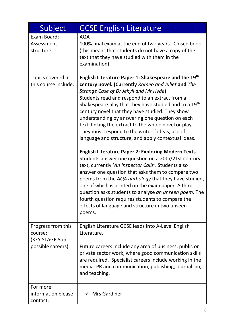| Subject                        | <b>GCSE English Literature</b>                                                                                      |
|--------------------------------|---------------------------------------------------------------------------------------------------------------------|
| Exam Board:                    | <b>AQA</b>                                                                                                          |
| Assessment                     | 100% final exam at the end of two years. Closed book                                                                |
| structure:                     | (this means that students do not have a copy of the                                                                 |
|                                | text that they have studied with them in the                                                                        |
|                                | examination).                                                                                                       |
| Topics covered in              | English Literature Paper 1: Shakespeare and the 19th                                                                |
| this course include:           | century novel. (Currently Romeo and Juliet and The                                                                  |
|                                | Strange Case of Dr Jekyll and Mr Hyde)                                                                              |
|                                | Students read and respond to an extract from a<br>Shakespeare play that they have studied and to a 19 <sup>th</sup> |
|                                | century novel that they have studied. They show                                                                     |
|                                | understanding by answering one question on each                                                                     |
|                                | text, linking the extract to the whole novel or play.                                                               |
|                                | They must respond to the writers' ideas, use of                                                                     |
|                                | language and structure, and apply contextual ideas.                                                                 |
|                                | <b>English Literature Paper 2: Exploring Modern Texts.</b>                                                          |
|                                | Students answer one question on a 20th/21st century                                                                 |
|                                | text, currently 'An Inspector Calls'. Students also                                                                 |
|                                | answer one question that asks them to compare two                                                                   |
|                                | poems from the AQA anthology that they have studied,<br>one of which is printed on the exam paper. A third          |
|                                | question asks students to analyse an unseen poem. The                                                               |
|                                | fourth question requires students to compare the                                                                    |
|                                | effects of language and structure in two unseen                                                                     |
|                                | poems.                                                                                                              |
| Progress from this             | English Literature GCSE leads into A-Level English                                                                  |
| course:                        | Literature.                                                                                                         |
| (KEY STAGE 5 or                |                                                                                                                     |
| possible careers)              | Future careers include any area of business, public or                                                              |
|                                | private sector work, where good communication skills<br>are required. Specialist careers include working in the     |
|                                | media, PR and communication, publishing, journalism,                                                                |
|                                | and teaching.                                                                                                       |
|                                |                                                                                                                     |
| For more                       | <b>Mrs Gardiner</b>                                                                                                 |
| information please<br>contact: |                                                                                                                     |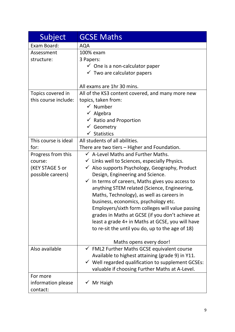| Subject              | <b>GCSE Maths</b>                                             |
|----------------------|---------------------------------------------------------------|
| Exam Board:          | <b>AQA</b>                                                    |
| Assessment           | 100% exam                                                     |
| structure:           | 3 Papers:                                                     |
|                      | $\checkmark$ One is a non-calculator paper                    |
|                      | $\checkmark$ Two are calculator papers                        |
|                      |                                                               |
|                      | All exams are 1hr 30 mins.                                    |
| Topics covered in    | All of the KS3 content covered, and many more new             |
| this course include: | topics, taken from:                                           |
|                      | $\checkmark$ Number                                           |
|                      | $\checkmark$ Algebra                                          |
|                      | $\checkmark$ Ratio and Proportion                             |
|                      | $\checkmark$ Geometry                                         |
|                      | $\checkmark$ Statistics                                       |
| This course is ideal | All students of all abilities.                                |
| for:                 | There are two tiers – Higher and Foundation.                  |
| Progress from this   | $\checkmark$ A-Level Maths and Further Maths.                 |
| course:              | $\checkmark$ Links well to Sciences, especially Physics.      |
| (KEY STAGE 5 or      | $\checkmark$ Also supports Psychology, Geography, Product     |
| possible careers)    | Design, Engineering and Science.                              |
|                      | $\checkmark$ In terms of careers, Maths gives you access to   |
|                      | anything STEM related (Science, Engineering,                  |
|                      | Maths, Technology), as well as careers in                     |
|                      | business, economics, psychology etc.                          |
|                      | Employers/sixth form colleges will value passing              |
|                      | grades in Maths at GCSE (if you don't achieve at              |
|                      | least a grade 4+ in Maths at GCSE, you will have              |
|                      | to re-sit the until you do, up to the age of 18)              |
|                      | Maths opens every door!                                       |
| Also available       | $\checkmark$ FML2 Further Maths GCSE equivalent course        |
|                      | Available to highest attaining (grade 9) in Y11.              |
|                      | $\checkmark$ Well regarded qualification to supplement GCSEs: |
|                      | valuable if choosing Further Maths at A-Level.                |
| For more             |                                                               |
| information please   | $\checkmark$ Mr Haigh                                         |
| contact:             |                                                               |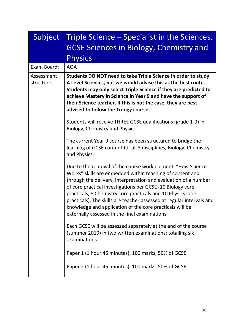| Subject                  | Triple Science – Specialist in the Sciences.<br><b>GCSE Sciences in Biology, Chemistry and</b><br><b>Physics</b>                                                                                                                                                                                                                                                                                                                                                                                                |
|--------------------------|-----------------------------------------------------------------------------------------------------------------------------------------------------------------------------------------------------------------------------------------------------------------------------------------------------------------------------------------------------------------------------------------------------------------------------------------------------------------------------------------------------------------|
| Exam Board:              | <b>AQA</b>                                                                                                                                                                                                                                                                                                                                                                                                                                                                                                      |
| Assessment<br>structure: | Students DO NOT need to take Triple Science in order to study<br>A Level Sciences, but we would advise this as the best route.<br>Students may only select Triple Science if they are predicted to<br>achieve Mastery in Science in Year 9 and have the support of<br>their Science teacher. If this is not the case, they are best<br>advised to follow the Trilogy course.                                                                                                                                    |
|                          | Students will receive THREE GCSE qualifications (grade 1-9) in<br>Biology, Chemistry and Physics.                                                                                                                                                                                                                                                                                                                                                                                                               |
|                          | The current Year 9 course has been structured to bridge the<br>learning of GCSE content for all 3 disciplines, Biology, Chemistry<br>and Physics.                                                                                                                                                                                                                                                                                                                                                               |
|                          | Due to the removal of the course work element, "How Science<br>Works" skills are embedded within teaching of content and<br>through the delivery, interpretation and evaluation of a number<br>of core practical investigations per GCSE (10 Biology core<br>practicals, 8 Chemistry core practicals and 10 Physics core<br>practicals). The skills are teacher assessed at regular intervals and<br>knowledge and application of the core practicals will be<br>externally assessed in the final examinations. |
|                          | Each GCSE will be assessed separately at the end of the course<br>(summer 2019) in two written examinations: totalling six<br>examinations.                                                                                                                                                                                                                                                                                                                                                                     |
|                          | Paper 1 (1 hour 45 minutes), 100 marks, 50% of GCSE                                                                                                                                                                                                                                                                                                                                                                                                                                                             |
|                          | Paper 2 (1 hour 45 minutes), 100 marks, 50% of GCSE                                                                                                                                                                                                                                                                                                                                                                                                                                                             |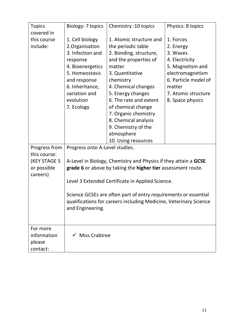| <b>Topics</b>                                 | Biology: 7 topics                                                                                                                                                                       | Chemistry: 10 topics                                                                                                                                                                                                                                                                                                                               | Physics: 8 topics                                                                                                                                                         |
|-----------------------------------------------|-----------------------------------------------------------------------------------------------------------------------------------------------------------------------------------------|----------------------------------------------------------------------------------------------------------------------------------------------------------------------------------------------------------------------------------------------------------------------------------------------------------------------------------------------------|---------------------------------------------------------------------------------------------------------------------------------------------------------------------------|
| covered in                                    |                                                                                                                                                                                         |                                                                                                                                                                                                                                                                                                                                                    |                                                                                                                                                                           |
| this course<br>include:                       | 1. Cell biology<br>2. Organisation<br>3. Infection and<br>response<br>4. Bioenergetics<br>5. Homeostasis<br>and response<br>6. Inheritance,<br>variation and<br>evolution<br>7. Ecology | 1. Atomic structure and<br>the periodic table<br>2. Bonding, structure,<br>and the properties of<br>matter<br>3. Quantitative<br>chemistry<br>4. Chemical changes<br>5. Energy changes<br>6. The rate and extent<br>of chemical change<br>7. Organic chemistry<br>8. Chemical analysis<br>9. Chemistry of the<br>atmosphere<br>10. Using resources | 1. Forces<br>2. Energy<br>3. Waves<br>4. Electricity<br>5. Magnetism and<br>electromagnetism<br>6. Particle model of<br>matter<br>7. Atomic structure<br>8. Space physics |
| Progress from                                 | Progress onto A-Level studies.                                                                                                                                                          |                                                                                                                                                                                                                                                                                                                                                    |                                                                                                                                                                           |
| this course:                                  |                                                                                                                                                                                         |                                                                                                                                                                                                                                                                                                                                                    |                                                                                                                                                                           |
| (KEY STAGE 5                                  | A-Level in Biology, Chemistry and Physics if they attain a GCSE                                                                                                                         |                                                                                                                                                                                                                                                                                                                                                    |                                                                                                                                                                           |
| or possible                                   |                                                                                                                                                                                         | grade 6 or above by taking the higher tier assessment route.                                                                                                                                                                                                                                                                                       |                                                                                                                                                                           |
| careers)                                      |                                                                                                                                                                                         | Level 3 Extended Certificate in Applied Science.                                                                                                                                                                                                                                                                                                   |                                                                                                                                                                           |
|                                               | and Engineering.                                                                                                                                                                        | Science GCSEs are often part of entry requirements or essential<br>qualifications for careers including Medicine, Veterinary Science                                                                                                                                                                                                               |                                                                                                                                                                           |
| For more<br>information<br>please<br>contact: | $\checkmark$ Miss Crabtree                                                                                                                                                              |                                                                                                                                                                                                                                                                                                                                                    |                                                                                                                                                                           |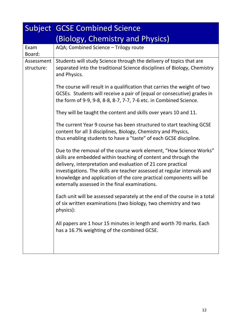|                          | <b>Subject GCSE Combined Science</b>                                                                                                                                                                                                                                                                                                                                                                     |  |  |
|--------------------------|----------------------------------------------------------------------------------------------------------------------------------------------------------------------------------------------------------------------------------------------------------------------------------------------------------------------------------------------------------------------------------------------------------|--|--|
|                          | (Biology, Chemistry and Physics)                                                                                                                                                                                                                                                                                                                                                                         |  |  |
| Exam<br>Board:           | AQA; Combined Science - Trilogy route                                                                                                                                                                                                                                                                                                                                                                    |  |  |
| Assessment<br>structure: | Students will study Science through the delivery of topics that are<br>separated into the traditional Science disciplines of Biology, Chemistry<br>and Physics.                                                                                                                                                                                                                                          |  |  |
|                          | The course will result in a qualification that carries the weight of two<br>GCSEs. Students will receive a pair of (equal or consecutive) grades in<br>the form of 9-9, 9-8, 8-8, 8-7, 7-7, 7-6 etc. in Combined Science.                                                                                                                                                                                |  |  |
|                          | They will be taught the content and skills over years 10 and 11.                                                                                                                                                                                                                                                                                                                                         |  |  |
|                          | The current Year 9 course has been structured to start teaching GCSE<br>content for all 3 disciplines, Biology, Chemistry and Physics,<br>thus enabling students to have a "taste" of each GCSE discipline.                                                                                                                                                                                              |  |  |
|                          | Due to the removal of the course work element, "How Science Works"<br>skills are embedded within teaching of content and through the<br>delivery, interpretation and evaluation of 21 core practical<br>investigations. The skills are teacher assessed at regular intervals and<br>knowledge and application of the core practical components will be<br>externally assessed in the final examinations. |  |  |
|                          | Each unit will be assessed separately at the end of the course in a total<br>of six written examinations (two biology, two chemistry and two<br>physics):                                                                                                                                                                                                                                                |  |  |
|                          | All papers are 1 hour 15 minutes in length and worth 70 marks. Each<br>has a 16.7% weighting of the combined GCSE.                                                                                                                                                                                                                                                                                       |  |  |
|                          |                                                                                                                                                                                                                                                                                                                                                                                                          |  |  |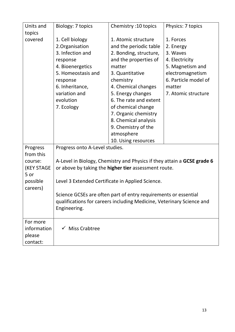| Units and            | Biology: 7 topics                                           | Chemistry: 10 topics                                                    | Physics: 7 topics    |
|----------------------|-------------------------------------------------------------|-------------------------------------------------------------------------|----------------------|
| topics               |                                                             |                                                                         |                      |
| covered              | 1. Cell biology                                             | 1. Atomic structure                                                     | 1. Forces            |
|                      | 2. Organisation                                             | and the periodic table                                                  | 2. Energy            |
|                      | 3. Infection and                                            | 2. Bonding, structure,                                                  | 3. Waves             |
|                      | response                                                    | and the properties of                                                   | 4. Electricity       |
|                      | 4. Bioenergetics                                            | matter                                                                  | 5. Magnetism and     |
|                      | 5. Homeostasis and                                          | 3. Quantitative                                                         | electromagnetism     |
|                      | response                                                    | chemistry                                                               | 6. Particle model of |
|                      | 6. Inheritance,                                             | 4. Chemical changes                                                     | matter               |
|                      | variation and                                               | 5. Energy changes                                                       | 7. Atomic structure  |
|                      | evolution                                                   | 6. The rate and extent                                                  |                      |
|                      | 7. Ecology                                                  | of chemical change                                                      |                      |
|                      |                                                             | 7. Organic chemistry                                                    |                      |
|                      |                                                             | 8. Chemical analysis                                                    |                      |
|                      |                                                             | 9. Chemistry of the                                                     |                      |
|                      |                                                             | atmosphere                                                              |                      |
|                      |                                                             | 10. Using resources                                                     |                      |
| Progress             | Progress onto A-Level studies.                              |                                                                         |                      |
| from this            |                                                             |                                                                         |                      |
| course:              |                                                             | A-Level in Biology, Chemistry and Physics if they attain a GCSE grade 6 |                      |
| <b>(KEY STAGE</b>    | or above by taking the <b>higher tier</b> assessment route. |                                                                         |                      |
| 5 or                 |                                                             |                                                                         |                      |
| possible<br>careers) | Level 3 Extended Certificate in Applied Science.            |                                                                         |                      |
|                      |                                                             | Science GCSEs are often part of entry requirements or essential         |                      |
|                      |                                                             | qualifications for careers including Medicine, Veterinary Science and   |                      |
|                      | Engineering.                                                |                                                                         |                      |
|                      |                                                             |                                                                         |                      |
| For more             |                                                             |                                                                         |                      |
| information          | $\checkmark$ Miss Crabtree                                  |                                                                         |                      |
| please               |                                                             |                                                                         |                      |
| contact:             |                                                             |                                                                         |                      |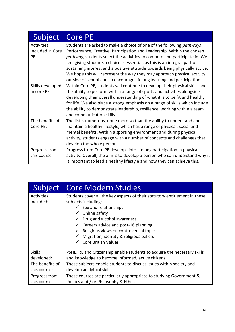| <b>Subject</b>    | <b>Core PE</b>                                                                                        |
|-------------------|-------------------------------------------------------------------------------------------------------|
| <b>Activities</b> | Students are asked to make a choice of one of the following pathways:                                 |
| included in Core  | Performance, Creative, Participation and Leadership. Within the chosen                                |
| PE:               | pathway, students select the activities to compete and participate in. We                             |
|                   | feel giving students a choice is essential, as this is an integral part of                            |
|                   | sustaining interest and a positive attitude towards being physically active.                          |
|                   | We hope this will represent the way they may approach physical activity                               |
|                   | outside of school and so encourage lifelong learning and participation.                               |
| Skills developed  | Within Core PE, students will continue to develop their physical skills and                           |
| in core PE:       | the ability to perform within a range of sports and activities alongside                              |
|                   | developing their overall understanding of what it is to be fit and healthy                            |
|                   | for life. We also place a strong emphasis on a range of skills which include                          |
|                   | the ability to demonstrate leadership, resilience, working within a team<br>and communication skills. |
| The benefits of   | The list is numerous, none more so than the ability to understand and                                 |
| Core PE:          | maintain a healthy lifestyle, which has a range of physical, social and                               |
|                   | mental benefits. Within a sporting environment and during physical                                    |
|                   | activity, students engage with a number of concepts and challenges that                               |
|                   | develop the whole person.                                                                             |
| Progress from     | Progress from Core PE develops into lifelong participation in physical                                |
| this course:      | activity. Overall, the aim is to develop a person who can understand why it                           |
|                   | is important to lead a healthy lifestyle and how they can achieve this.                               |

| Subject                        | <b>Core Modern Studies</b>                                                                                                                                                                                                                                                                                                                                               |  |
|--------------------------------|--------------------------------------------------------------------------------------------------------------------------------------------------------------------------------------------------------------------------------------------------------------------------------------------------------------------------------------------------------------------------|--|
| <b>Activities</b><br>included: | Students cover all the key aspects of their statutory entitlement in these<br>subjects including:<br>$\checkmark$ Sex and relationships<br>Online safety<br>✓<br>Drug and alcohol awareness<br>✓<br>$\checkmark$ Careers advice and post-16 planning<br>Religious views on controversial topics<br>Migration, identity & religious beliefs<br><b>Core British Values</b> |  |
| <b>Skills</b>                  | PSHE, RE and Citizenship enable students to acquire the necessary skills                                                                                                                                                                                                                                                                                                 |  |
| developed:                     | and knowledge to become informed, active citizens.                                                                                                                                                                                                                                                                                                                       |  |
| The benefits of                | These subjects enable students to discuss issues within society and                                                                                                                                                                                                                                                                                                      |  |
| this course:                   | develop analytical skills.                                                                                                                                                                                                                                                                                                                                               |  |
| Progress from                  | These courses are particularly appropriate to studying Government &                                                                                                                                                                                                                                                                                                      |  |
| this course:                   | Politics and / or Philosophy & Ethics.                                                                                                                                                                                                                                                                                                                                   |  |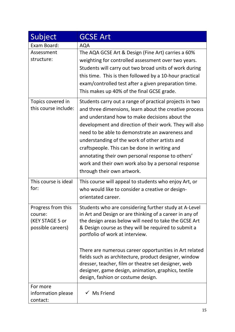| Subject                                                               | <b>GCSE Art</b>                                                                                                                                                                                                                                                                                                                                                                                                                                                                                                                |
|-----------------------------------------------------------------------|--------------------------------------------------------------------------------------------------------------------------------------------------------------------------------------------------------------------------------------------------------------------------------------------------------------------------------------------------------------------------------------------------------------------------------------------------------------------------------------------------------------------------------|
| Exam Board:                                                           | <b>AQA</b>                                                                                                                                                                                                                                                                                                                                                                                                                                                                                                                     |
| Assessment<br>structure:                                              | The AQA GCSE Art & Design (Fine Art) carries a 60%<br>weighting for controlled assessment over two years.<br>Students will carry out two broad units of work during<br>this time. This is then followed by a 10-hour practical<br>exam/controlled test after a given preparation time.<br>This makes up 40% of the final GCSE grade.                                                                                                                                                                                           |
| Topics covered in<br>this course include:                             | Students carry out a range of practical projects in two<br>and three dimensions, learn about the creative process<br>and understand how to make decisions about the<br>development and direction of their work. They will also<br>need to be able to demonstrate an awareness and<br>understanding of the work of other artists and<br>craftspeople. This can be done in writing and<br>annotating their own personal response to others'<br>work and their own work also by a personal response<br>through their own artwork. |
| This course is ideal<br>for:                                          | This course will appeal to students who enjoy Art, or<br>who would like to consider a creative or design-<br>orientated career.                                                                                                                                                                                                                                                                                                                                                                                                |
| Progress from this<br>course:<br>(KEY STAGE 5 or<br>possible careers) | Students who are considering further study at A-Level<br>in Art and Design or are thinking of a career in any of<br>the design areas below will need to take the GCSE Art<br>& Design course as they will be required to submit a<br>portfolio of work at interview.<br>There are numerous career opportunities in Art related<br>fields such as architecture, product designer, window                                                                                                                                        |
|                                                                       | dresser, teacher, film or theatre set designer, web<br>designer, game design, animation, graphics, textile<br>design, fashion or costume design.                                                                                                                                                                                                                                                                                                                                                                               |
| For more<br>information please<br>contact:                            | $\checkmark$ Ms Friend                                                                                                                                                                                                                                                                                                                                                                                                                                                                                                         |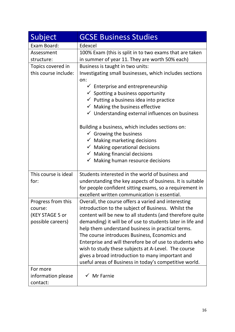| Subject                                                               | <b>GCSE Business Studies</b>                                                                                                                                                                                                                                                                                                                                                                                                                                                                                                                                                                                                                     |
|-----------------------------------------------------------------------|--------------------------------------------------------------------------------------------------------------------------------------------------------------------------------------------------------------------------------------------------------------------------------------------------------------------------------------------------------------------------------------------------------------------------------------------------------------------------------------------------------------------------------------------------------------------------------------------------------------------------------------------------|
| Exam Board:                                                           | Edexcel                                                                                                                                                                                                                                                                                                                                                                                                                                                                                                                                                                                                                                          |
| Assessment<br>structure:                                              | 100% Exam (this is split in to two exams that are taken<br>in summer of year 11. They are worth 50% each)                                                                                                                                                                                                                                                                                                                                                                                                                                                                                                                                        |
| Topics covered in<br>this course include:                             | Business is taught in two units:<br>Investigating small businesses, which includes sections<br>on:<br>$\checkmark$ Enterprise and entrepreneurship<br>$\checkmark$ Spotting a business opportunity<br>$\checkmark$ Putting a business idea into practice<br>$\checkmark$ Making the business effective<br>$\checkmark$ Understanding external influences on business<br>Building a business, which includes sections on:<br>$\checkmark$ Growing the business<br>$\checkmark$ Making marketing decisions<br>$\checkmark$ Making operational decisions<br>$\checkmark$ Making financial decisions<br>$\checkmark$ Making human resource decisions |
| This course is ideal<br>for:                                          | Students interested in the world of business and<br>understanding the key aspects of business. It is suitable<br>for people confident sitting exams, so a requirement in<br>excellent written communication is essential.                                                                                                                                                                                                                                                                                                                                                                                                                        |
| Progress from this<br>course:<br>(KEY STAGE 5 or<br>possible careers) | Overall, the course offers a varied and interesting<br>introduction to the subject of Business. Whilst the<br>content will be new to all students (and therefore quite<br>demanding) it will be of use to students later in life and<br>help them understand business in practical terms.<br>The course introduces Business, Economics and<br>Enterprise and will therefore be of use to students who<br>wish to study these subjects at A-Level. The course<br>gives a broad introduction to many important and<br>useful areas of Business in today's competitive world.                                                                       |
| For more<br>information please<br>contact:                            | $\checkmark$ Mr Farnie                                                                                                                                                                                                                                                                                                                                                                                                                                                                                                                                                                                                                           |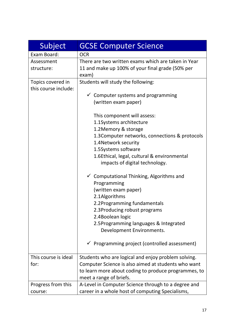| Subject                                   | <b>GCSE Computer Science</b>                                                                                                                                                                                                                                                                                                                                                                                                                                                                                                                                                                                                                                                                                      |
|-------------------------------------------|-------------------------------------------------------------------------------------------------------------------------------------------------------------------------------------------------------------------------------------------------------------------------------------------------------------------------------------------------------------------------------------------------------------------------------------------------------------------------------------------------------------------------------------------------------------------------------------------------------------------------------------------------------------------------------------------------------------------|
| Exam Board:                               | <b>OCR</b>                                                                                                                                                                                                                                                                                                                                                                                                                                                                                                                                                                                                                                                                                                        |
| Assessment<br>structure:                  | There are two written exams which are taken in Year<br>11 and make up 100% of your final grade (50% per<br>exam)                                                                                                                                                                                                                                                                                                                                                                                                                                                                                                                                                                                                  |
| Topics covered in<br>this course include: | Students will study the following:<br>$\checkmark$ Computer systems and programming<br>(written exam paper)<br>This component will assess:<br>1.1Systems architecture<br>1.2Memory & storage<br>1.3 Computer networks, connections & protocols<br>1.4Network security<br>1.5Systems software<br>1.6Ethical, legal, cultural & environmental<br>impacts of digital technology.<br>$\checkmark$ Computational Thinking, Algorithms and<br>Programming<br>(written exam paper)<br>2.1Algorithms<br>2.2Programming fundamentals<br>2.3Producing robust programs<br>2.4Boolean logic<br>2.5Programming languages & Integrated<br>Development Environments.<br>$\checkmark$ Programming project (controlled assessment) |
| This course is ideal<br>for:              | Students who are logical and enjoy problem solving.<br>Computer Science is also aimed at students who want<br>to learn more about coding to produce programmes, to<br>meet a range of briefs.                                                                                                                                                                                                                                                                                                                                                                                                                                                                                                                     |
| Progress from this<br>course:             | A-Level in Computer Science through to a degree and<br>career in a whole host of computing Specialisms,                                                                                                                                                                                                                                                                                                                                                                                                                                                                                                                                                                                                           |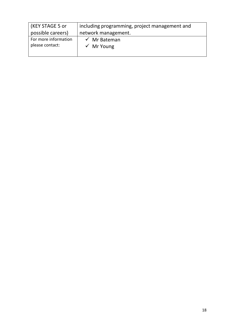| (KEY STAGE 5 or                         | including programming, project management and    |
|-----------------------------------------|--------------------------------------------------|
| possible careers)                       | network management.                              |
| For more information<br>please contact: | $\checkmark$ Mr Bateman<br>$\checkmark$ Mr Young |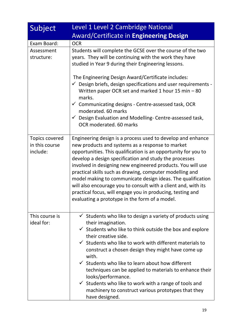| Subject                                             | Level 1 Level 2 Cambridge National                                                                                                                                                                                                                                                                                                                                                                                                                                                                                                                                                                                         |
|-----------------------------------------------------|----------------------------------------------------------------------------------------------------------------------------------------------------------------------------------------------------------------------------------------------------------------------------------------------------------------------------------------------------------------------------------------------------------------------------------------------------------------------------------------------------------------------------------------------------------------------------------------------------------------------------|
|                                                     | <b>Award/Certificate in Engineering Design</b>                                                                                                                                                                                                                                                                                                                                                                                                                                                                                                                                                                             |
| Exam Board:                                         | <b>OCR</b>                                                                                                                                                                                                                                                                                                                                                                                                                                                                                                                                                                                                                 |
| Assessment<br>structure:                            | Students will complete the GCSE over the course of the two<br>years. They will be continuing with the work they have<br>studied in Year 9 during their Engineering lessons.                                                                                                                                                                                                                                                                                                                                                                                                                                                |
|                                                     | The Engineering Design Award/Certificate includes:<br>$\checkmark$ Design briefs, design specifications and user requirements -<br>Written paper OCR set and marked 1 hour 15 min - 80<br>marks.<br>$\checkmark$ Communicating designs - Centre-assessed task, OCR<br>moderated. 60 marks<br>$\checkmark$ Design Evaluation and Modelling-Centre-assessed task,<br>OCR moderated. 60 marks                                                                                                                                                                                                                                 |
|                                                     |                                                                                                                                                                                                                                                                                                                                                                                                                                                                                                                                                                                                                            |
| <b>Topics covered</b><br>in this course<br>include: | Engineering design is a process used to develop and enhance<br>new products and systems as a response to market<br>opportunities. This qualification is an opportunity for you to<br>develop a design specification and study the processes<br>involved in designing new engineered products. You will use<br>practical skills such as drawing, computer modelling and<br>model making to communicate design ideas. The qualification<br>will also encourage you to consult with a client and, with its<br>practical focus, will engage you in producing, testing and<br>evaluating a prototype in the form of a model.    |
| This course is<br>ideal for:                        | $\checkmark$ Students who like to design a variety of products using<br>their imagination.<br>$\checkmark$ Students who like to think outside the box and explore<br>their creative side.<br>$\checkmark$ Students who like to work with different materials to<br>construct a chosen design they might have come up<br>with.<br>$\checkmark$ Students who like to learn about how different<br>techniques can be applied to materials to enhance their<br>looks/performance.<br>$\checkmark$ Students who like to work with a range of tools and<br>machinery to construct various prototypes that they<br>have designed. |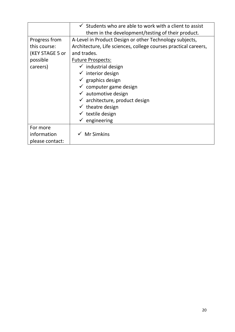|                 | $\checkmark$ Students who are able to work with a client to assist |
|-----------------|--------------------------------------------------------------------|
|                 | them in the development/testing of their product.                  |
| Progress from   | A-Level in Product Design or other Technology subjects,            |
| this course:    | Architecture, Life sciences, college courses practical careers,    |
| (KEY STAGE 5 or | and trades.                                                        |
| possible        | <b>Future Prospects:</b>                                           |
| careers)        | $\checkmark$ industrial design                                     |
|                 | $\checkmark$ interior design                                       |
|                 | $\checkmark$ graphics design                                       |
|                 | $\checkmark$ computer game design                                  |
|                 | $\checkmark$ automotive design                                     |
|                 | $\checkmark$ architecture, product design                          |
|                 | $\checkmark$ theatre design                                        |
|                 | $\checkmark$ textile design                                        |
|                 | $\checkmark$ engineering                                           |
| For more        |                                                                    |
| information     | <b>Mr Simkins</b>                                                  |
| please contact: |                                                                    |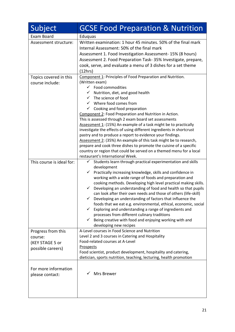| Subject                                                               | <b>GCSE Food Preparation &amp; Nutrition</b>                                                                                                                                                                                                                                                                                                                                                                                                                                                                                                                                                                                                                                                                                                                                                                                                        |
|-----------------------------------------------------------------------|-----------------------------------------------------------------------------------------------------------------------------------------------------------------------------------------------------------------------------------------------------------------------------------------------------------------------------------------------------------------------------------------------------------------------------------------------------------------------------------------------------------------------------------------------------------------------------------------------------------------------------------------------------------------------------------------------------------------------------------------------------------------------------------------------------------------------------------------------------|
| Exam Board                                                            | Eduquas                                                                                                                                                                                                                                                                                                                                                                                                                                                                                                                                                                                                                                                                                                                                                                                                                                             |
| Assessment structure:                                                 | Written examination: 1 hour 45 minutes. 50% of the final mark<br>Internal Assessment: 50% of the final mark<br>Assessment 1. Food Investigation Assessment-15% (8 hours)<br>Assessment 2. Food Preparation Task-35% Investigate, prepare,<br>cook, serve, and evaluate a menu of 3 dishes for a set theme<br>(12hrs)                                                                                                                                                                                                                                                                                                                                                                                                                                                                                                                                |
| Topics covered in this<br>course include:                             | Component 1: Principles of Food Preparation and Nutrition.<br>(Written exam)<br>$\checkmark$ Food commodities<br>Nutrition, diet, and good health<br>The science of food<br>Where food comes from<br>$\checkmark$<br>Cooking and food preparation<br>$\checkmark$<br>Component 2: Food Preparation and Nutrition in Action.<br>This is assessed through 2 exam board set assessments<br>Assessment 1: (15%) An example of a task might be to practically<br>investigate the effects of using different ingredients in shortcrust<br>pastry and to produce a report to evidence your findings.<br>Assessment 2: (35%) An example of this task might be to research,<br>prepare and cook three dishes to promote the cuisine of a specific<br>country or region that could be served on a themed menu for a local<br>restaurant's International Week. |
| This course is ideal for:                                             | Students learn through practical experimentation and skills<br>✓<br>development<br>Practically increasing knowledge, skills and confidence in<br>✓<br>working with a wide range of foods and preparation and<br>cooking methods. Developing high level practical making skills.<br>Developing an understanding of food and health so that pupils<br>$\checkmark$<br>can look after their own needs and those of others (life-skill)<br>Developing an understanding of factors that influence the<br>foods that we eat e.g. environmental, ethical, economic, social<br>Exploring and understanding a range of ingredients and<br>$\checkmark$<br>processes from different culinary traditions<br>$\checkmark$<br>Being creative with food and enjoying working with and<br>developing new recipes                                                   |
| Progress from this<br>course:<br>(KEY STAGE 5 or<br>possible careers) | A-Level courses in Food Science and Nutrition<br>Level 2 and 3 courses in Catering and Hospitality<br>Food-related courses at A-Level<br><b>Prospects</b><br>Food scientist, product development, hospitality and catering,<br>dietician, sports nutrition, teaching, lecturing, health promotion                                                                                                                                                                                                                                                                                                                                                                                                                                                                                                                                                   |
| For more information<br>please contact:                               | Mrs Brewer                                                                                                                                                                                                                                                                                                                                                                                                                                                                                                                                                                                                                                                                                                                                                                                                                                          |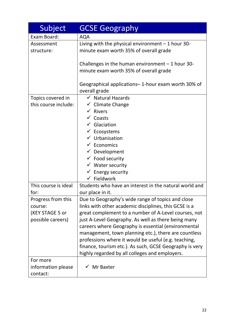| Subject                                                               | <b>GCSE Geography</b>                                                                                                                                                                                                                                                                                                                                                                                                                                                                                         |
|-----------------------------------------------------------------------|---------------------------------------------------------------------------------------------------------------------------------------------------------------------------------------------------------------------------------------------------------------------------------------------------------------------------------------------------------------------------------------------------------------------------------------------------------------------------------------------------------------|
| Exam Board:                                                           | <b>AQA</b>                                                                                                                                                                                                                                                                                                                                                                                                                                                                                                    |
| Assessment<br>structure:                                              | Living with the physical environment $-1$ hour 30-<br>minute exam worth 35% of overall grade                                                                                                                                                                                                                                                                                                                                                                                                                  |
|                                                                       | Challenges in the human environment $-1$ hour 30-<br>minute exam worth 35% of overall grade                                                                                                                                                                                                                                                                                                                                                                                                                   |
|                                                                       | Geographical applications-1-hour exam worth 30% of<br>overall grade                                                                                                                                                                                                                                                                                                                                                                                                                                           |
| Topics covered in<br>this course include:                             | $\checkmark$ Natural Hazards<br>$\checkmark$ Climate Change<br>$\checkmark$ Rivers<br>$\checkmark$ Coasts<br>$\checkmark$ Glaciation<br>$\checkmark$ Ecosystems<br>$\checkmark$ Urbanisation<br>$\checkmark$ Economics<br>$\checkmark$ Development<br>$\checkmark$ Food security<br>$\checkmark$ Water security<br>$\checkmark$ Energy security<br>Fieldwork<br>$\checkmark$                                                                                                                                  |
| This course is ideal<br>for:                                          | Students who have an interest in the natural world and<br>our place in it.                                                                                                                                                                                                                                                                                                                                                                                                                                    |
| Progress from this<br>course:<br>(KEY STAGE 5 or<br>possible careers) | Due to Geography's wide range of topics and close<br>links with other academic disciplines, this GCSE is a<br>great complement to a number of A-Level courses, not<br>just A-Level Geography. As well as there being many<br>careers where Geography is essential (environmental<br>management, town planning etc.), there are countless<br>professions where it would be useful (e.g. teaching,<br>finance, tourism etc.). As such, GCSE Geography is very<br>highly regarded by all colleges and employers. |
| For more<br>information please<br>contact:                            | Mr Baxter                                                                                                                                                                                                                                                                                                                                                                                                                                                                                                     |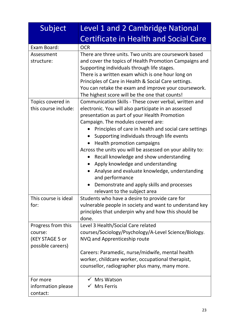| Subject              | Level 1 and 2 Cambridge National                          |
|----------------------|-----------------------------------------------------------|
|                      | <b>Certificate in Health and Social Care</b>              |
| Exam Board:          | <b>OCR</b>                                                |
| Assessment           | There are three units. Two units are coursework based     |
| structure:           | and cover the topics of Health Promotion Campaigns and    |
|                      | Supporting individuals through life stages.               |
|                      | There is a written exam which is one hour long on         |
|                      | Principles of Care in Health & Social Care settings.      |
|                      | You can retake the exam and improve your coursework.      |
|                      | The highest score will be the one that counts!            |
| Topics covered in    | Communication Skills - These cover verbal, written and    |
| this course include: | electronic. You will also participate in an assessed      |
|                      | presentation as part of your Health Promotion             |
|                      | Campaign. The modules covered are:                        |
|                      | Principles of care in health and social care settings     |
|                      | Supporting individuals through life events                |
|                      | Health promotion campaigns                                |
|                      | Across the units you will be assessed on your ability to: |
|                      | Recall knowledge and show understanding                   |
|                      | Apply knowledge and understanding                         |
|                      | Analyse and evaluate knowledge, understanding             |
|                      | and performance                                           |
|                      | Demonstrate and apply skills and processes                |
|                      | relevant to the subject area                              |
| This course is ideal | Students who have a desire to provide care for            |
| for:                 | vulnerable people in society and want to understand key   |
|                      | principles that underpin why and how this should be       |
|                      | done.                                                     |
| Progress from this   | Level 3 Health/Social Care related                        |
| course:              | courses/Sociology/Psychology/A-Level Science/Biology.     |
| (KEY STAGE 5 or      | NVQ and Apprenticeship route                              |
| possible careers)    |                                                           |
|                      | Careers: Paramedic, nurse/midwife, mental health          |
|                      | worker, childcare worker, occupational therapist,         |
|                      | counsellor, radiographer plus many, many more.            |
| For more             | Mrs Watson                                                |
| information please   | <b>Mrs Ferris</b>                                         |
| contact:             |                                                           |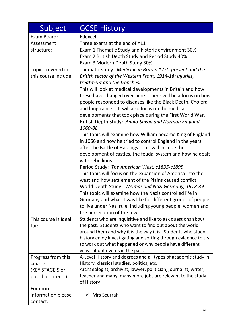| Subject              | <b>GCSE History</b>                                                                                                            |
|----------------------|--------------------------------------------------------------------------------------------------------------------------------|
| Exam Board:          | Edexcel                                                                                                                        |
| Assessment           | Three exams at the end of Y11                                                                                                  |
| structure:           | Exam 1 Thematic Study and historic environment 30%                                                                             |
|                      | Exam 2 British Depth Study and Period Study 40%                                                                                |
|                      | Exam 3 Modern Depth Study 30%                                                                                                  |
| Topics covered in    | Thematic study: Medicine in Britain 1250-present and the                                                                       |
| this course include: | British sector of the Western Front, 1914-18: injuries,                                                                        |
|                      | treatment and the trenches.                                                                                                    |
|                      | This will look at medical developments in Britain and how                                                                      |
|                      | these have changed over time. There will be a focus on how                                                                     |
|                      | people responded to diseases like the Black Death, Cholera                                                                     |
|                      | and lung cancer. It will also focus on the medical                                                                             |
|                      | developments that took place during the First World War.                                                                       |
|                      | British Depth Study: Anglo-Saxon and Norman England<br>1060-88                                                                 |
|                      | This topic will examine how William became King of England                                                                     |
|                      | in 1066 and how he tried to control England in the years                                                                       |
|                      | after the Battle of Hastings. This will include the                                                                            |
|                      | development of castles, the feudal system and how he dealt                                                                     |
|                      | with rebellions.                                                                                                               |
|                      | Period Study: The American West, c1835-c1895                                                                                   |
|                      | This topic will focus on the expansion of America into the                                                                     |
|                      | west and how settlement of the Plains caused conflict.                                                                         |
|                      | World Depth Study: Weimar and Nazi Germany, 1918-39                                                                            |
|                      | This topic will examine how the Nazis controlled life in                                                                       |
|                      | Germany and what it was like for different groups of people                                                                    |
|                      | to live under Nazi rule, including young people, women and                                                                     |
|                      | the persecution of the Jews.                                                                                                   |
| This course is ideal | Students who are inquisitive and like to ask questions about                                                                   |
| for:                 | the past. Students who want to find out about the world                                                                        |
|                      | around them and why it is the way it is. Students who study<br>history enjoy investigating and sorting through evidence to try |
|                      | to work out what happened or why people have different                                                                         |
|                      | views about events in the past.                                                                                                |
| Progress from this   | A-Level History and degrees and all types of academic study in                                                                 |
| course:              | History, classical studies, politics, etc.                                                                                     |
| (KEY STAGE 5 or      | Archaeologist, archivist, lawyer, politician, journalist, writer,                                                              |
| possible careers)    | teacher and many, many more jobs are relevant to the study                                                                     |
|                      | of History                                                                                                                     |
| For more             |                                                                                                                                |
| information please   | Mrs Scurrah                                                                                                                    |
| contact:             |                                                                                                                                |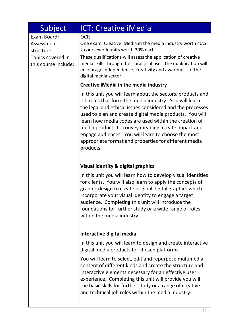| Subject                                   | <b>ICT</b> ; Creative iMedia                                                                                                                                                                                                                                                                                                                                                                                                                                                                |
|-------------------------------------------|---------------------------------------------------------------------------------------------------------------------------------------------------------------------------------------------------------------------------------------------------------------------------------------------------------------------------------------------------------------------------------------------------------------------------------------------------------------------------------------------|
| Exam Board:                               | <b>OCR</b>                                                                                                                                                                                                                                                                                                                                                                                                                                                                                  |
| Assessment<br>structure:                  | One exam; Creative iMedia in the media industry worth 40%<br>2 coursework units worth 30% each.                                                                                                                                                                                                                                                                                                                                                                                             |
| Topics covered in<br>this course include: | These qualifications will assess the application of creative<br>media skills through their practical use. The qualification will<br>encourage independence, creativity and awareness of the<br>digital media sector.                                                                                                                                                                                                                                                                        |
|                                           | Creative iMedia in the media industry                                                                                                                                                                                                                                                                                                                                                                                                                                                       |
|                                           | In this unit you will learn about the sectors, products and<br>job roles that form the media industry. You will learn<br>the legal and ethical issues considered and the processes<br>used to plan and create digital media products. You will<br>learn how media codes are used within the creation of<br>media products to convey meaning, create impact and<br>engage audiences. You will learn to choose the most<br>appropriate format and properties for different media<br>products. |
|                                           | Visual identity & digital graphics                                                                                                                                                                                                                                                                                                                                                                                                                                                          |
|                                           | In this unit you will learn how to develop visual identities<br>for clients. You will also learn to apply the concepts of<br>graphic design to create original digital graphics which<br>incorporate your visual identity to engage a target<br>audience. Completing this unit will introduce the<br>foundations for further study or a wide range of roles<br>within the media industry.                                                                                                   |
|                                           | Interactive digital media                                                                                                                                                                                                                                                                                                                                                                                                                                                                   |
|                                           | In this unit you will learn to design and create interactive<br>digital media products for chosen platforms.                                                                                                                                                                                                                                                                                                                                                                                |
|                                           | You will learn to select, edit and repurpose multimedia<br>content of different kinds and create the structure and<br>interactive elements necessary for an effective user<br>experience. Completing this unit will provide you will<br>the basic skills for further study or a range of creative<br>and technical job roles within the media industry.                                                                                                                                     |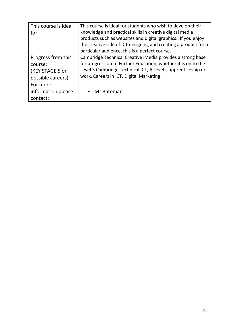| This course is ideal | This course is ideal for students who wish to develop their     |
|----------------------|-----------------------------------------------------------------|
| for:                 | knowledge and practical skills in creative digital media        |
|                      | products such as websites and digital graphics. If you enjoy    |
|                      | the creative side of ICT designing and creating a product for a |
|                      | particular audience, this is a perfect course.                  |
| Progress from this   | Cambridge Technical Creative iMedia provides a strong base      |
| course:              | for progression to Further Education, whether it is on to the   |
| (KEY STAGE 5 or      | Level 3 Cambridge Technical ICT, A Levels, apprenticeship or    |
| possible careers)    | work. Careers in ICT, Digital Marketing.                        |
| For more             |                                                                 |
| information please   | Mr Bateman                                                      |
| contact:             |                                                                 |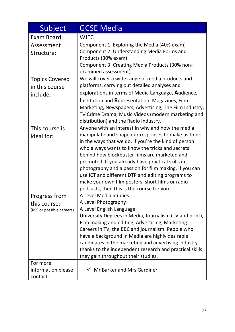| Subject                                                    | <b>GCSE Media</b>                                                                                                                                                                                                                                                                                                                                                                                                                                                                                                                        |
|------------------------------------------------------------|------------------------------------------------------------------------------------------------------------------------------------------------------------------------------------------------------------------------------------------------------------------------------------------------------------------------------------------------------------------------------------------------------------------------------------------------------------------------------------------------------------------------------------------|
| Exam Board:                                                | <b>WJEC</b>                                                                                                                                                                                                                                                                                                                                                                                                                                                                                                                              |
| Assessment<br>Structure:                                   | Component 1: Exploring the Media (40% exam)<br>Component 2: Understanding Media Forms and<br>Products (30% exam)<br>Component 3: Creating Media Products (30% non-<br>examined assessment)                                                                                                                                                                                                                                                                                                                                               |
| <b>Topics Covered</b><br>in this course<br>include:        | We will cover a wide range of media products and<br>platforms, carrying out detailed analyses and<br>explorations in terms of Media Language, Audience,<br><b>Institution and Representation: Magazines, Film</b><br>Marketing, Newspapers, Advertising, The Film Industry,<br>TV Crime Drama, Music Videos (modern marketing and<br>distribution) and the Radio Industry.                                                                                                                                                               |
| This course is<br>ideal for:                               | Anyone with an interest in why and how the media<br>manipulate and shape our responses to make us think<br>in the ways that we do. If you're the kind of person<br>who always wants to know the tricks and secrets<br>behind how blockbuster films are marketed and<br>promoted. If you already have practical skills in<br>photography and a passion for film making. If you can<br>use ICT and different DTP and editing programs to<br>make your own film posters, short films or radio<br>podcasts, then this is the course for you. |
| Progress from<br>this course:<br>(KS5 or possible careers) | A Level Media Studies<br>A Level Photography<br>A Level English Language<br>University Degrees in Media, Journalism (TV and print),<br>Film making and editing, Advertising, Marketing.<br>Careers in TV, the BBC and journalism. People who<br>have a background in Media are highly desirable<br>candidates in the marketing and advertising industry<br>thanks to the independent research and practical skills<br>they gain throughout their studies.                                                                                |
| For more<br>information please<br>contact:                 | $\checkmark$ Mr Barker and Mrs Gardiner                                                                                                                                                                                                                                                                                                                                                                                                                                                                                                  |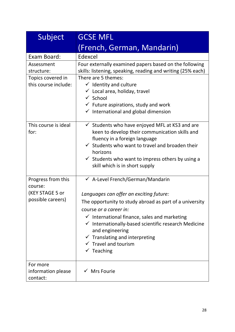| Subject                                                               | <b>GCSE MFL</b>                                                                                                                                                                                                                                                                                                                                                                                                 |
|-----------------------------------------------------------------------|-----------------------------------------------------------------------------------------------------------------------------------------------------------------------------------------------------------------------------------------------------------------------------------------------------------------------------------------------------------------------------------------------------------------|
|                                                                       | (French, German, Mandarin)                                                                                                                                                                                                                                                                                                                                                                                      |
| Exam Board:                                                           | Edexcel                                                                                                                                                                                                                                                                                                                                                                                                         |
| Assessment<br>structure:<br>Topics covered in<br>this course include: | Four externally examined papers based on the following<br>skills: listening, speaking, reading and writing (25% each)<br>There are 5 themes:<br>$\checkmark$ Identity and culture<br>$\checkmark$ Local area, holiday, travel<br>$\checkmark$ School<br>$\checkmark$ Future aspirations, study and work<br>$\checkmark$ International and global dimension                                                      |
| This course is ideal<br>for:                                          | $\checkmark$ Students who have enjoyed MFL at KS3 and are<br>keen to develop their communication skills and<br>fluency in a foreign language<br>$\checkmark$ Students who want to travel and broaden their<br>horizons<br>$\checkmark$ Students who want to impress others by using a<br>skill which is in short supply                                                                                         |
| Progress from this<br>course:<br>(KEY STAGE 5 or<br>possible careers) | ← A-Level French/German/Mandarin<br>Languages can offer an exciting future:<br>The opportunity to study abroad as part of a university<br>course or a career in:<br>$\checkmark$ International finance, sales and marketing<br>√ Internationally-based scientific research Medicine<br>and engineering<br>$\checkmark$ Translating and interpreting<br>$\checkmark$ Travel and tourism<br>$\checkmark$ Teaching |
| For more<br>information please<br>contact:                            | $\checkmark$ Mrs Fourie                                                                                                                                                                                                                                                                                                                                                                                         |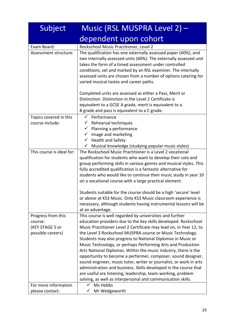| Subject                                                               | Music (RSL MUSPRA Level 2) -                                                                                                                                                                                                                                                                                                                                                                                                                                                                                                                                                                                                                                                                                                                                                                            |
|-----------------------------------------------------------------------|---------------------------------------------------------------------------------------------------------------------------------------------------------------------------------------------------------------------------------------------------------------------------------------------------------------------------------------------------------------------------------------------------------------------------------------------------------------------------------------------------------------------------------------------------------------------------------------------------------------------------------------------------------------------------------------------------------------------------------------------------------------------------------------------------------|
|                                                                       | dependent upon cohort                                                                                                                                                                                                                                                                                                                                                                                                                                                                                                                                                                                                                                                                                                                                                                                   |
| Exam Board:                                                           | Rockschool Music Practitioner, Level 2                                                                                                                                                                                                                                                                                                                                                                                                                                                                                                                                                                                                                                                                                                                                                                  |
| Assessment structure:                                                 | The qualification has one externally assessed paper (40%), and<br>two internally assessed units (60%). The externally assessed unit<br>takes the form of a timed assessment under controlled<br>conditions, set and marked by an RSL examiner. The internally<br>assessed units are chosen from a number of options catering for<br>varied musical tastes and career paths.                                                                                                                                                                                                                                                                                                                                                                                                                             |
|                                                                       | Completed units are assessed as either a Pass, Merit or<br>Distinction. Distinction in the Level 2 Certificate is<br>equivalent to a GCSE A grade, merit is equivalent to a<br>B grade and pass is equivalent to a C grade.                                                                                                                                                                                                                                                                                                                                                                                                                                                                                                                                                                             |
| Topics covered in this                                                | $\checkmark$ Performance                                                                                                                                                                                                                                                                                                                                                                                                                                                                                                                                                                                                                                                                                                                                                                                |
| course include:                                                       | $\checkmark$ Rehearsal techniques<br>$\checkmark$ Planning a performance<br>$\checkmark$ Image and marketing<br>$\checkmark$ Health and Safety                                                                                                                                                                                                                                                                                                                                                                                                                                                                                                                                                                                                                                                          |
|                                                                       | Musical knowledge (studying popular music styles)<br>✓                                                                                                                                                                                                                                                                                                                                                                                                                                                                                                                                                                                                                                                                                                                                                  |
| This course is ideal for:                                             | The Rockschool Music Practitioner is a Level 2 vocational<br>qualification for students who want to develop their solo and<br>group performing skills in various genres and musical styles. This<br>fully accredited qualification is a fantastic alternative for<br>students who would like to continue their music study in year 10<br>on a vocational course with a large practical element.                                                                                                                                                                                                                                                                                                                                                                                                         |
|                                                                       | Students suitable for the course should be a high 'secure' level<br>or above at KS3 Music. Only KS3 Music classroom experience is<br>necessary, although students having instrumental lessons will be<br>at an advantage.                                                                                                                                                                                                                                                                                                                                                                                                                                                                                                                                                                               |
| Progress from this<br>course:<br>(KEY STAGE 5 or<br>possible careers) | This course is well regarded by universities and further<br>education providers due to the key skills developed. Rockschool<br>Music Practitioner Level 2 Certificate may lead on, in Year 12, to<br>the Level 3 Rockschool MUSPRA course or Music Technology.<br>Students may also progress to National Diplomas in Music or<br>Music Technology, or perhaps Performing Arts and Production<br>Arts National Diplomas. Within the music industry, there is the<br>opportunity to become a performer, composer, sound designer,<br>sound engineer, music tutor, writer or journalist, or work in arts<br>administration and business. Skills developed in the course that<br>are useful are listening, leadership, team-working, problem<br>solving, as well as interpersonal and communication skills. |
| For more information                                                  | Ms Hebbs                                                                                                                                                                                                                                                                                                                                                                                                                                                                                                                                                                                                                                                                                                                                                                                                |
| please contact:                                                       | Mr Wedgeworth                                                                                                                                                                                                                                                                                                                                                                                                                                                                                                                                                                                                                                                                                                                                                                                           |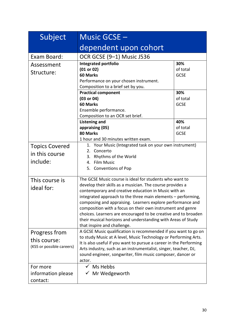| Subject                                                    | Music GCSE -                                                                                                                                                                                                                                                                                                                                                                                                                                                                                                                              |                                |
|------------------------------------------------------------|-------------------------------------------------------------------------------------------------------------------------------------------------------------------------------------------------------------------------------------------------------------------------------------------------------------------------------------------------------------------------------------------------------------------------------------------------------------------------------------------------------------------------------------------|--------------------------------|
|                                                            | dependent upon cohort                                                                                                                                                                                                                                                                                                                                                                                                                                                                                                                     |                                |
| Exam Board:                                                | OCR GCSE (9-1) Music J536                                                                                                                                                                                                                                                                                                                                                                                                                                                                                                                 |                                |
| Assessment<br>Structure:                                   | Integrated portfolio<br>(01 or 02)<br>60 Marks<br>Performance on your chosen instrument.<br>Composition to a brief set by you.                                                                                                                                                                                                                                                                                                                                                                                                            | 30%<br>of total<br><b>GCSE</b> |
|                                                            | <b>Practical component</b><br>(03 or 04)<br>60 Marks<br>Ensemble performance.<br>Composition to an OCR set brief.                                                                                                                                                                                                                                                                                                                                                                                                                         | 30%<br>of total<br><b>GCSE</b> |
|                                                            | <b>Listening and</b><br>appraising (05)<br>80 Marks<br>1 hour and 30 minutes written exam.                                                                                                                                                                                                                                                                                                                                                                                                                                                | 40%<br>of total<br><b>GCSE</b> |
| <b>Topics Covered</b><br>in this course<br>include:        | 1. Your Music (Integrated task on your own instrument)<br>2. Concerto<br>Rhythms of the World<br>3.<br>4. Film Music<br>5. Conventions of Pop                                                                                                                                                                                                                                                                                                                                                                                             |                                |
| This course is<br>ideal for:                               | The GCSE Music course is ideal for students who want to<br>develop their skills as a musician. The course provides a<br>contemporary and creative education in Music with an<br>integrated approach to the three main elements - performing,<br>composing and appraising. Learners explore performance and<br>composition with a focus on their own instrument and genre<br>choices. Learners are encouraged to be creative and to broaden<br>their musical horizons and understanding with Areas of Study<br>that inspire and challenge. |                                |
| Progress from<br>this course:<br>(KS5 or possible careers) | A GCSE Music qualification is recommended if you want to go on<br>to study Music at A level, Music Technology or Performing Arts.<br>It is also useful if you want to pursue a career in the Performing<br>Arts industry, such as an instrumentalist, singer, teacher, DJ,<br>sound engineer, songwriter, film music composer, dancer or<br>actor.                                                                                                                                                                                        |                                |
| For more<br>information please<br>contact:                 | Ms Hebbs<br>$\checkmark$<br>$\checkmark$ Mr Wedgeworth                                                                                                                                                                                                                                                                                                                                                                                                                                                                                    |                                |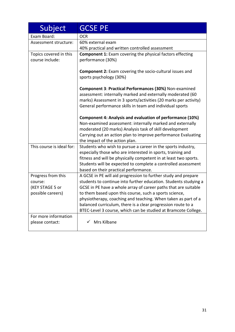| Subject                   | <b>GCSE PE</b>                                                                                 |
|---------------------------|------------------------------------------------------------------------------------------------|
| Exam Board:               | <b>OCR</b>                                                                                     |
| Assessment structure:     | 60% external exam                                                                              |
|                           | 40% practical and written controlled assessment                                                |
| Topics covered in this    | <b>Component 1:</b> Exam covering the physical factors effecting                               |
| course include:           | performance (30%)                                                                              |
|                           |                                                                                                |
|                           | <b>Component 2:</b> Exam covering the socio-cultural issues and                                |
|                           | sports psychology (30%)                                                                        |
|                           | Component 3: Practical Performances (30%) Non-examined                                         |
|                           | assessment: internally marked and externally moderated (60                                     |
|                           | marks) Assessment in 3 sports/activities (20 marks per activity)                               |
|                           | General performance skills in team and individual sports                                       |
|                           |                                                                                                |
|                           | Component 4: Analysis and evaluation of performance (10%)                                      |
|                           | Non-examined assessment: internally marked and externally                                      |
|                           | moderated (20 marks) Analysis task of skill development                                        |
|                           | Carrying out an action plan to improve performance Evaluating                                  |
| This course is ideal for: | the impact of the action plan.<br>Students who wish to pursue a career in the sports industry, |
|                           | especially those who are interested in sports, training and                                    |
|                           | fitness and will be physically competent in at least two sports.                               |
|                           | Students will be expected to complete a controlled assessment                                  |
|                           | based on their practical performance.                                                          |
| Progress from this        | A GCSE in PE will aid progression to further study and prepare                                 |
| course:                   | students to continue into further education. Students studying a                               |
| (KEY STAGE 5 or           | GCSE in PE have a whole array of career paths that are suitable                                |
| possible careers)         | to them based upon this course, such a sports science,                                         |
|                           | physiotherapy, coaching and teaching. When taken as part of a                                  |
|                           | balanced curriculum, there is a clear progression route to a                                   |
|                           | BTEC-Level 3 course, which can be studied at Bramcote College.                                 |
| For more information      |                                                                                                |
| please contact:           | Mrs Kilbane                                                                                    |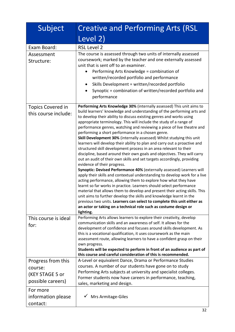| Subject                                                               | <b>Creative and Performing Arts (RSL</b>                                                                                                                                                                                                                                                                                                                                                                                                                                                                                                                                                                                                                                                                                                                                                                                                                                                                                                                                                                                                                                                                                                                                                                                                                                                                                                                                                                                                                       |
|-----------------------------------------------------------------------|----------------------------------------------------------------------------------------------------------------------------------------------------------------------------------------------------------------------------------------------------------------------------------------------------------------------------------------------------------------------------------------------------------------------------------------------------------------------------------------------------------------------------------------------------------------------------------------------------------------------------------------------------------------------------------------------------------------------------------------------------------------------------------------------------------------------------------------------------------------------------------------------------------------------------------------------------------------------------------------------------------------------------------------------------------------------------------------------------------------------------------------------------------------------------------------------------------------------------------------------------------------------------------------------------------------------------------------------------------------------------------------------------------------------------------------------------------------|
|                                                                       | Level 2)                                                                                                                                                                                                                                                                                                                                                                                                                                                                                                                                                                                                                                                                                                                                                                                                                                                                                                                                                                                                                                                                                                                                                                                                                                                                                                                                                                                                                                                       |
| Exam Board:                                                           | <b>RSL Level 2</b>                                                                                                                                                                                                                                                                                                                                                                                                                                                                                                                                                                                                                                                                                                                                                                                                                                                                                                                                                                                                                                                                                                                                                                                                                                                                                                                                                                                                                                             |
| Assessment<br>Structure:                                              | The course is assessed through two units of internally assessed<br>coursework; marked by the teacher and one externally assessed<br>unit that is sent off to an examiner.<br>Performing Arts Knowledge = combination of<br>written/recorded portfolio and performance<br>Skills Development = written/recorded portfolio<br>$\bullet$<br>Synoptic = combination of written/recorded portfolio and<br>$\bullet$<br>performance                                                                                                                                                                                                                                                                                                                                                                                                                                                                                                                                                                                                                                                                                                                                                                                                                                                                                                                                                                                                                                  |
| Topics Covered in<br>this course include:                             | Performing Arts Knowledge 30% (internally assessed) This unit aims to<br>build learners' knowledge and understanding of the performing arts and<br>to develop their ability to discuss existing genres and works using<br>appropriate terminology. This will include the study of a range of<br>performance genres, watching and reviewing a piece of live theatre and<br>performing a short performance in a chosen genre.<br>Skill Development 30% (internally assessed) Whilst studying this unit<br>learners will develop their ability to plan and carry out a proactive and<br>structured skill development process in an area relevant to their<br>discipline, based around their own goals and objectives. They will carry<br>out an audit of their own skills and set targets accordingly, providing<br>evidence of their progress.<br>Synoptic: Devised Performance 40% (externally assessed) Learners will<br>apply their skills and contextual understanding to develop work for a live<br>acting performance, allowing them to explore how what they have<br>learnt so far works in practice. Learners should select performance<br>material that allows them to develop and present their acting skills. This<br>unit aims to further develop the skills and knowledge learnt in the<br>previous two units. Learners can select to complete this unit either as<br>an actor or taking on a technical role such as costume design or<br>lighting. |
| This course is ideal<br>for:                                          | Performing Arts allows learners to explore their creativity, develop<br>communication skills and an awareness of self. It allows for the<br>development of confidence and focuses around skills development. As<br>this is a vocational qualification, it uses coursework as the main<br>assessment route, allowing learners to have a confident grasp on their<br>own progress.<br>Students will be expected to perform in front of an audience as part of<br>this course and careful consideration of this is recommended.                                                                                                                                                                                                                                                                                                                                                                                                                                                                                                                                                                                                                                                                                                                                                                                                                                                                                                                                   |
| Progress from this<br>course:<br>(KEY STAGE 5 or<br>possible careers) | A-Level or equivalent Dance, Drama or Performance Studies<br>courses. A number of our students have gone on to study<br>Performing Arts subjects at university and specialist colleges.<br>Former students now have careers in performance, teaching,<br>sales, marketing and design.                                                                                                                                                                                                                                                                                                                                                                                                                                                                                                                                                                                                                                                                                                                                                                                                                                                                                                                                                                                                                                                                                                                                                                          |
| For more<br>information please<br>contact:                            | Mrs Armitage-Giles                                                                                                                                                                                                                                                                                                                                                                                                                                                                                                                                                                                                                                                                                                                                                                                                                                                                                                                                                                                                                                                                                                                                                                                                                                                                                                                                                                                                                                             |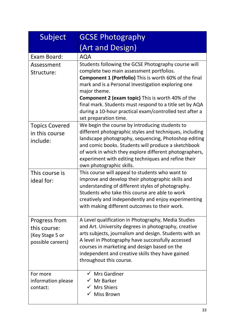| Subject                                                               | <b>GCSE Photography</b>                                                                                                                                                                                                                                                                                                                                                                                                                           |
|-----------------------------------------------------------------------|---------------------------------------------------------------------------------------------------------------------------------------------------------------------------------------------------------------------------------------------------------------------------------------------------------------------------------------------------------------------------------------------------------------------------------------------------|
|                                                                       | (Art and Design)                                                                                                                                                                                                                                                                                                                                                                                                                                  |
| Exam Board:                                                           | <b>AQA</b>                                                                                                                                                                                                                                                                                                                                                                                                                                        |
| Assessment<br>Structure:                                              | Students following the GCSE Photography course will<br>complete two main assessment portfolios.<br><b>Component 1 (Portfolio)</b> This is worth 60% of the final<br>mark and is a Personal Investigation exploring one<br>major theme.<br><b>Component 2 (exam topic)</b> This is worth 40% of the<br>final mark. Students must respond to a title set by AQA<br>during a 10-hour practical exam/controlled test after a<br>set preparation time. |
| <b>Topics Covered</b><br>in this course<br>include:                   | We begin the course by introducing students to<br>different photographic styles and techniques, including<br>landscape photography, sequencing, Photoshop editing<br>and comic books. Students will produce a sketchbook<br>of work in which they explore different photographers,<br>experiment with editing techniques and refine their<br>own photographic skills.                                                                             |
| This course is<br>ideal for:                                          | This course will appeal to students who want to<br>improve and develop their photographic skills and<br>understanding of different styles of photography.<br>Students who take this course are able to work<br>creatively and independently and enjoy experimenting<br>with making different outcomes to their work.                                                                                                                              |
| Progress from<br>this course:<br>(Key Stage 5 or<br>possible careers) | A Level qualification in Photography, Media Studies<br>and Art. University degrees in photography, creative<br>arts subjects, journalism and design. Students with an<br>A level in Photography have successfully accessed<br>courses in marketing and design based on the<br>independent and creative skills they have gained<br>throughout this course.                                                                                         |
| For more<br>information please<br>contact:                            | $\checkmark$ Mrs Gardiner<br>$\checkmark$ Mr Barker<br>$\checkmark$ Mrs Shiers<br>√ Miss Brown                                                                                                                                                                                                                                                                                                                                                    |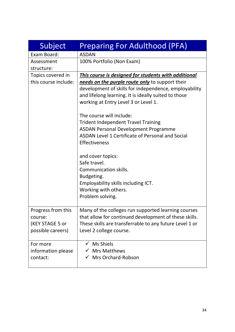| Subject              | <b>Preparing For Adulthood (PFA)</b>                    |
|----------------------|---------------------------------------------------------|
| Exam Board:          | <b>ASDAN</b>                                            |
| Assessment           | 100% Portfolio (Non Exam)                               |
| structure:           |                                                         |
| Topics covered in    | This course is designed for students with additional    |
| this course include: | needs on the purple route only to support their         |
|                      | development of skills for independence, employability   |
|                      | and lifelong learning. It is ideally suited to those    |
|                      | working at Entry Level 3 or Level 1.                    |
|                      | The course will include:                                |
|                      | <b>Trident Independent Travel Training</b>              |
|                      | <b>ASDAN Personal Development Programme</b>             |
|                      | ASDAN Level 1 Certificate of Personal and Social        |
|                      | <b>Effectiveness</b>                                    |
|                      | and cover topics:                                       |
|                      | Safe travel.                                            |
|                      | Communication skills.                                   |
|                      | Budgeting.                                              |
|                      | Employability skills including ICT.                     |
|                      | Working with others.                                    |
|                      | Problem solving.                                        |
| Progress from this   | Many of the colleges run supported learning courses     |
| course:              | that allow for continued development of these skills.   |
| (KEY STAGE 5 or      | These skills are transferrable to any future Level 1 or |
| possible careers)    | Level 2 college course.                                 |
|                      |                                                         |
| For more             | <b>Ms Shiels</b>                                        |
| information please   | $\checkmark$ Mrs Matthews                               |
| contact:             | $\checkmark$ Mrs Orchard-Robson                         |
|                      |                                                         |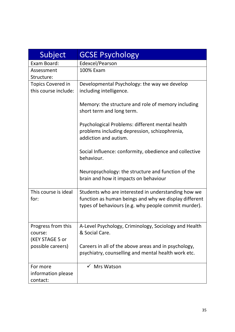| Subject                                          | <b>GCSE Psychology</b>                                                                                                                                               |
|--------------------------------------------------|----------------------------------------------------------------------------------------------------------------------------------------------------------------------|
| Exam Board:                                      | Edexcel/Pearson                                                                                                                                                      |
| Assessment<br>Structure:                         | 100% Exam                                                                                                                                                            |
| <b>Topics Covered in</b><br>this course include: | Developmental Psychology: the way we develop<br>including intelligence.                                                                                              |
|                                                  | Memory: the structure and role of memory including<br>short term and long term.                                                                                      |
|                                                  | Psychological Problems: different mental health<br>problems including depression, schizophrenia,<br>addiction and autism.                                            |
|                                                  | Social Influence: conformity, obedience and collective<br>behaviour.                                                                                                 |
|                                                  | Neuropsychology: the structure and function of the<br>brain and how it impacts on behaviour                                                                          |
| This course is ideal<br>for:                     | Students who are interested in understanding how we<br>function as human beings and why we display different<br>types of behaviours (e.g. why people commit murder). |
| Progress from this<br>course:<br>(KEY STAGE 5 or | A-Level Psychology, Criminology, Sociology and Health<br>& Social Care.                                                                                              |
| possible careers)                                | Careers in all of the above areas and in psychology,<br>psychiatry, counselling and mental health work etc.                                                          |
| For more<br>information please<br>contact:       | $\checkmark$ Mrs Watson                                                                                                                                              |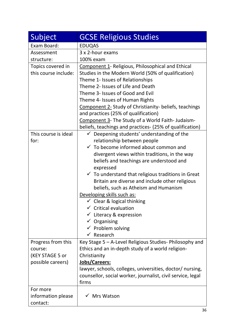| Subject                                                               | <b>GCSE Religious Studies</b>                                                                                                                                                                                                                                                                                                                                                                                                                                                                                                                                                                                                                        |
|-----------------------------------------------------------------------|------------------------------------------------------------------------------------------------------------------------------------------------------------------------------------------------------------------------------------------------------------------------------------------------------------------------------------------------------------------------------------------------------------------------------------------------------------------------------------------------------------------------------------------------------------------------------------------------------------------------------------------------------|
| Exam Board:                                                           | <b>EDUQAS</b>                                                                                                                                                                                                                                                                                                                                                                                                                                                                                                                                                                                                                                        |
| Assessment                                                            | 3 x 2-hour exams                                                                                                                                                                                                                                                                                                                                                                                                                                                                                                                                                                                                                                     |
| structure:                                                            | 100% exam                                                                                                                                                                                                                                                                                                                                                                                                                                                                                                                                                                                                                                            |
| Topics covered in<br>this course include:                             | Component 1- Religious, Philosophical and Ethical<br>Studies in the Modern World (50% of qualification)<br>Theme 1- Issues of Relationships<br>Theme 2- Issues of Life and Death<br>Theme 3- Issues of Good and Evil<br>Theme 4- Issues of Human Rights<br>Component 2- Study of Christianity- beliefs, teachings<br>and practices (25% of qualification)<br>Component 3- The Study of a World Faith- Judaism-<br>beliefs, teachings and practices- (25% of qualification)                                                                                                                                                                           |
| This course is ideal<br>for:                                          | $\checkmark$ Deepening students' understanding of the<br>relationship between people<br>$\checkmark$ To become informed about common and<br>divergent views within traditions, in the way<br>beliefs and teachings are understood and<br>expressed<br>$\checkmark$ To understand that religious traditions in Great<br>Britain are diverse and include other religious<br>beliefs, such as Atheism and Humanism<br>Developing skills such as:<br>$\checkmark$ Clear & logical thinking<br>$\checkmark$ Critical evaluation<br>$\checkmark$ Literacy & expression<br>$\checkmark$ Organising<br>$\checkmark$ Problem solving<br>$\checkmark$ Research |
| Progress from this<br>course:<br>(KEY STAGE 5 or<br>possible careers) | Key Stage 5 - A-Level Religious Studies- Philosophy and<br>Ethics and an in-depth study of a world religion-<br>Christianity<br>Jobs/Careers:<br>lawyer, schools, colleges, universities, doctor/ nursing,<br>counsellor, social worker, journalist, civil service, legal<br>firms                                                                                                                                                                                                                                                                                                                                                                   |
| For more<br>information please<br>contact:                            | <b>Mrs Watson</b>                                                                                                                                                                                                                                                                                                                                                                                                                                                                                                                                                                                                                                    |